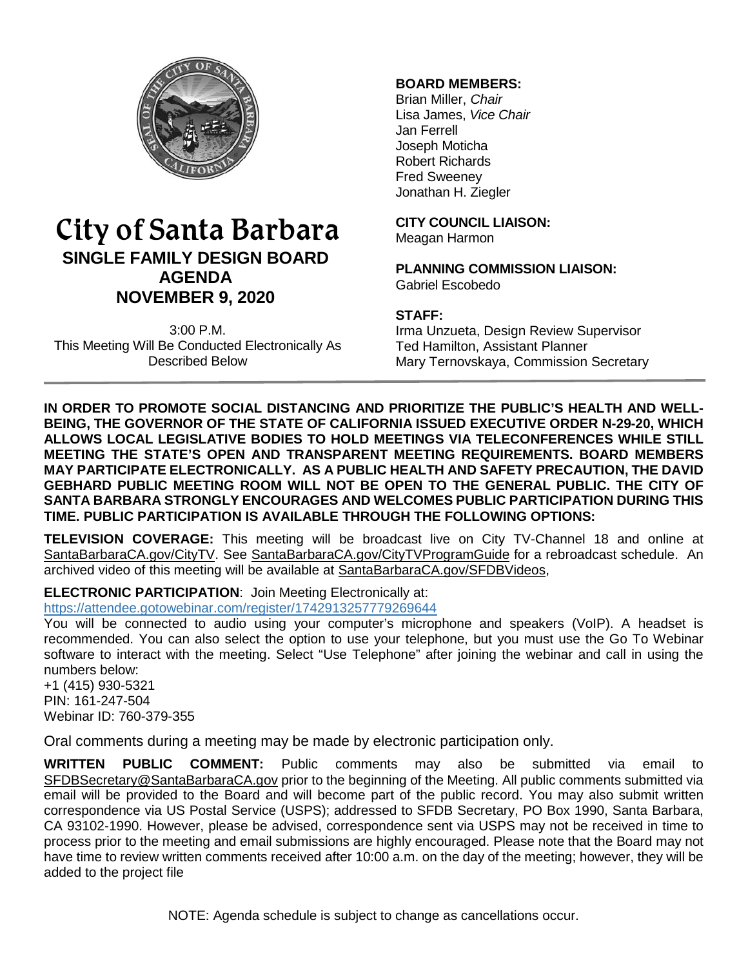

## City of Santa Barbara **SINGLE FAMILY DESIGN BOARD AGENDA NOVEMBER 9, 2020**

3:00 P.M. This Meeting Will Be Conducted Electronically As Described Below

### **BOARD MEMBERS:**

Brian Miller, *Chair* Lisa James, *Vice Chair* Jan Ferrell Joseph Moticha Robert Richards Fred Sweeney Jonathan H. Ziegler

**CITY COUNCIL LIAISON:** Meagan Harmon

**PLANNING COMMISSION LIAISON:** Gabriel Escobedo

### **STAFF:**

Irma Unzueta, Design Review Supervisor Ted Hamilton, Assistant Planner Mary Ternovskaya, Commission Secretary

**IN ORDER TO PROMOTE SOCIAL DISTANCING AND PRIORITIZE THE PUBLIC'S HEALTH AND WELL-BEING, THE GOVERNOR OF THE STATE OF CALIFORNIA ISSUED EXECUTIVE ORDER N-29-20, WHICH ALLOWS LOCAL LEGISLATIVE BODIES TO HOLD MEETINGS VIA TELECONFERENCES WHILE STILL MEETING THE STATE'S OPEN AND TRANSPARENT MEETING REQUIREMENTS. BOARD MEMBERS MAY PARTICIPATE ELECTRONICALLY. AS A PUBLIC HEALTH AND SAFETY PRECAUTION, THE DAVID GEBHARD PUBLIC MEETING ROOM WILL NOT BE OPEN TO THE GENERAL PUBLIC. THE CITY OF SANTA BARBARA STRONGLY ENCOURAGES AND WELCOMES PUBLIC PARTICIPATION DURING THIS TIME. PUBLIC PARTICIPATION IS AVAILABLE THROUGH THE FOLLOWING OPTIONS:**

**TELEVISION COVERAGE:** This meeting will be broadcast live on City TV-Channel 18 and online at [SantaBarbaraCA.gov/CityTV.](http://www.santabarbaraca.gov/CityTV) See [SantaBarbaraCA.gov/CityTVProgramGuide](http://www.santabarbaraca.gov/CityTVProgramGuide) for a rebroadcast schedule. An archived video of this meeting will be available at [SantaBarbaraCA.gov/SFDBVideos,](http://www.santabarbaraca.gov/SFDBVideos)

**ELECTRONIC PARTICIPATION**: Join Meeting Electronically at:

<https://attendee.gotowebinar.com/register/1742913257779269644>

You will be connected to audio using your computer's microphone and speakers (VoIP). A headset is recommended. You can also select the option to use your telephone, but you must use the Go To Webinar software to interact with the meeting. Select "Use Telephone" after joining the webinar and call in using the numbers below:

+1 (415) 930-5321 PIN: 161-247-504 Webinar ID: 760-379-355

Oral comments during a meeting may be made by electronic participation only.

**WRITTEN PUBLIC COMMENT:** Public comments may also be submitted via email to [SFDBSecretary@SantaBarbaraCA.gov](mailto:SFDBSecretary@SantaBarbaraCA.gov) prior to the beginning of the Meeting. All public comments submitted via email will be provided to the Board and will become part of the public record. You may also submit written correspondence via US Postal Service (USPS); addressed to SFDB Secretary, PO Box 1990, Santa Barbara, CA 93102-1990. However, please be advised, correspondence sent via USPS may not be received in time to process prior to the meeting and email submissions are highly encouraged. Please note that the Board may not have time to review written comments received after 10:00 a.m. on the day of the meeting; however, they will be added to the project file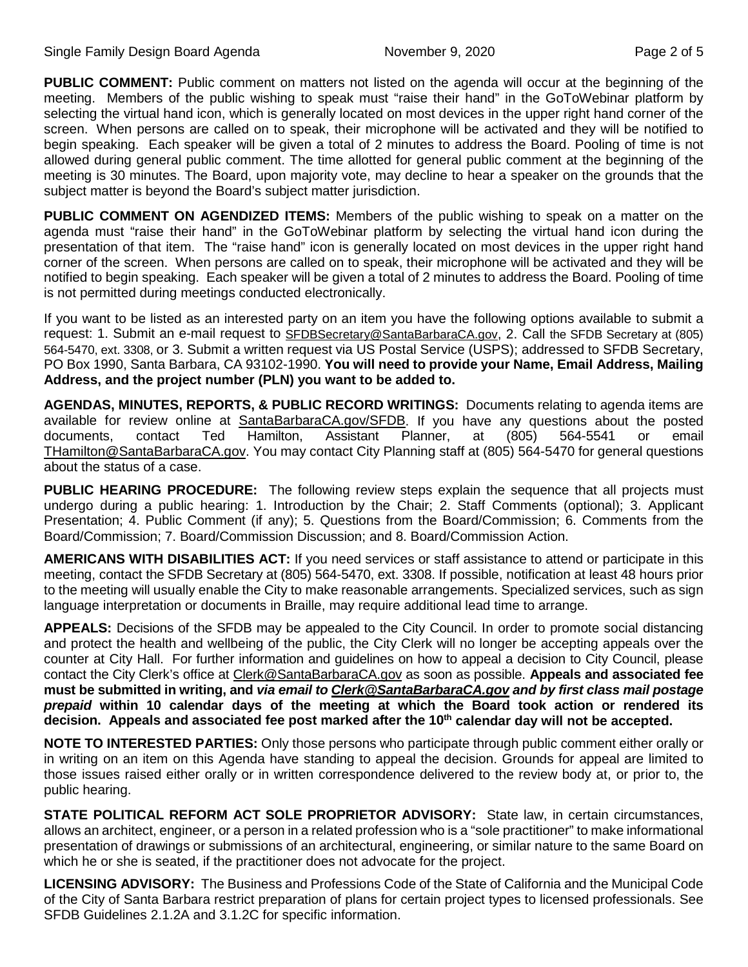**PUBLIC COMMENT:** Public comment on matters not listed on the agenda will occur at the beginning of the meeting. Members of the public wishing to speak must "raise their hand" in the GoToWebinar platform by selecting the virtual hand icon, which is generally located on most devices in the upper right hand corner of the screen. When persons are called on to speak, their microphone will be activated and they will be notified to begin speaking. Each speaker will be given a total of 2 minutes to address the Board. Pooling of time is not allowed during general public comment. The time allotted for general public comment at the beginning of the meeting is 30 minutes. The Board, upon majority vote, may decline to hear a speaker on the grounds that the subject matter is beyond the Board's subject matter jurisdiction.

**PUBLIC COMMENT ON AGENDIZED ITEMS:** Members of the public wishing to speak on a matter on the agenda must "raise their hand" in the GoToWebinar platform by selecting the virtual hand icon during the presentation of that item. The "raise hand" icon is generally located on most devices in the upper right hand corner of the screen. When persons are called on to speak, their microphone will be activated and they will be notified to begin speaking. Each speaker will be given a total of 2 minutes to address the Board. Pooling of time is not permitted during meetings conducted electronically.

If you want to be listed as an interested party on an item you have the following options available to submit a request: 1. Submit an e-mail request to [SFDBSecretary@SantaBarbaraCA.gov,](mailto:SFDBSecretary@SantaBarbaraCA.gov) 2. Call the SFDB Secretary at (805) 564-5470, ext. 3308, or 3. Submit a written request via US Postal Service (USPS); addressed to SFDB Secretary, PO Box 1990, Santa Barbara, CA 93102-1990. **You will need to provide your Name, Email Address, Mailing Address, and the project number (PLN) you want to be added to.**

**AGENDAS, MINUTES, REPORTS, & PUBLIC RECORD WRITINGS:** Documents relating to agenda items are available for review online at **SantaBarbaraCA.gov/SFDB**. If you have any questions about the posted<br>documents, contact Ted Hamilton, Assistant Planner, at (805) 564-5541 or email documents, contact Ted Hamilton, Assistant Planner, at (805) 564-5541 or email [THamilton@SantaBarbaraCA.gov.](mailto:THamilton@SantaBarbaraCA.gov) You may contact City Planning staff at (805) 564-5470 for general questions about the status of a case.

**PUBLIC HEARING PROCEDURE:** The following review steps explain the sequence that all projects must undergo during a public hearing: 1. Introduction by the Chair; 2. Staff Comments (optional); 3. Applicant Presentation; 4. Public Comment (if any); 5. Questions from the Board/Commission; 6. Comments from the Board/Commission; 7. Board/Commission Discussion; and 8. Board/Commission Action.

**AMERICANS WITH DISABILITIES ACT:** If you need services or staff assistance to attend or participate in this meeting, contact the SFDB Secretary at (805) 564-5470, ext. 3308. If possible, notification at least 48 hours prior to the meeting will usually enable the City to make reasonable arrangements. Specialized services, such as sign language interpretation or documents in Braille, may require additional lead time to arrange.

**APPEALS:** Decisions of the SFDB may be appealed to the City Council. In order to promote social distancing and protect the health and wellbeing of the public, the City Clerk will no longer be accepting appeals over the counter at City Hall. For further information and guidelines on how to appeal a decision to City Council, please contact the City Clerk's office at [Clerk@SantaBarbaraCA.gov](mailto:Clerk@SantaBarbaraCA.gov) as soon as possible. **Appeals and associated fee must be submitted in writing, and** *via email to [Clerk@SantaBarbaraCA.gov](mailto:Clerk@SantaBarbaraCA.gov) and by first class mail postage prepaid* **within 10 calendar days of the meeting at which the Board took action or rendered its**  decision. Appeals and associated fee post marked after the 10<sup>th</sup> calendar day will not be accepted.

**NOTE TO INTERESTED PARTIES:** Only those persons who participate through public comment either orally or in writing on an item on this Agenda have standing to appeal the decision. Grounds for appeal are limited to those issues raised either orally or in written correspondence delivered to the review body at, or prior to, the public hearing.

**STATE POLITICAL REFORM ACT SOLE PROPRIETOR ADVISORY:** State law, in certain circumstances, allows an architect, engineer, or a person in a related profession who is a "sole practitioner" to make informational presentation of drawings or submissions of an architectural, engineering, or similar nature to the same Board on which he or she is seated, if the practitioner does not advocate for the project.

**LICENSING ADVISORY:** The Business and Professions Code of the State of California and the Municipal Code of the City of Santa Barbara restrict preparation of plans for certain project types to licensed professionals. See SFDB Guidelines 2.1.2A and 3.1.2C for specific information.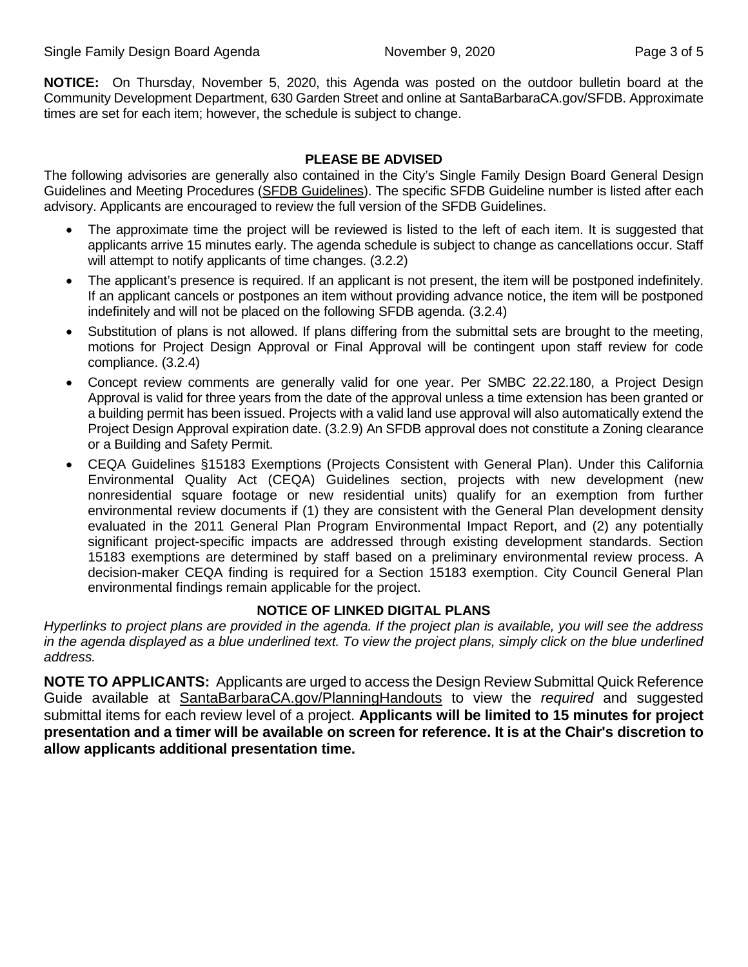**NOTICE:** On Thursday, November 5, 2020, this Agenda was posted on the outdoor bulletin board at the Community Development Department, 630 Garden Street and online at [SantaBarbaraCA.gov/SFDB.](http://www.santabarbaraca.gov/gov/brdcomm/nz/sfdb/agendas.asp) Approximate times are set for each item; however, the schedule is subject to change.

#### **PLEASE BE ADVISED**

The following advisories are generally also contained in the City's Single Family Design Board General Design Guidelines and Meeting Procedures [\(SFDB Guidelines\)](http://www.santabarbaraca.gov/services/planning/design/boards/sfdb.asp). The specific SFDB Guideline number is listed after each advisory. Applicants are encouraged to review the full version of the SFDB Guidelines.

- The approximate time the project will be reviewed is listed to the left of each item. It is suggested that applicants arrive 15 minutes early. The agenda schedule is subject to change as cancellations occur. Staff will attempt to notify applicants of time changes.  $(3.2.2)$
- The applicant's presence is required. If an applicant is not present, the item will be postponed indefinitely. If an applicant cancels or postpones an item without providing advance notice, the item will be postponed indefinitely and will not be placed on the following SFDB agenda. (3.2.4)
- Substitution of plans is not allowed. If plans differing from the submittal sets are brought to the meeting, motions for Project Design Approval or Final Approval will be contingent upon staff review for code compliance. (3.2.4)
- Concept review comments are generally valid for one year. Per SMBC 22.22.180, a Project Design Approval is valid for three years from the date of the approval unless a time extension has been granted or a building permit has been issued. Projects with a valid land use approval will also automatically extend the Project Design Approval expiration date. (3.2.9) An SFDB approval does not constitute a Zoning clearance or a Building and Safety Permit.
- CEQA Guidelines §15183 Exemptions (Projects Consistent with General Plan). Under this California Environmental Quality Act (CEQA) Guidelines section, projects with new development (new nonresidential square footage or new residential units) qualify for an exemption from further environmental review documents if (1) they are consistent with the General Plan development density evaluated in the 2011 General Plan Program Environmental Impact Report, and (2) any potentially significant project-specific impacts are addressed through existing development standards. Section 15183 exemptions are determined by staff based on a preliminary environmental review process. A decision-maker CEQA finding is required for a Section 15183 exemption. City Council General Plan environmental findings remain applicable for the project.

#### **NOTICE OF LINKED DIGITAL PLANS**

*Hyperlinks to project plans are provided in the agenda. If the project plan is available, you will see the address*  in the agenda displayed as a blue underlined text. To view the project plans, simply click on the blue underlined *address.*

**NOTE TO APPLICANTS:** Applicants are urged to access the Design Review Submittal Quick Reference Guide available at [SantaBarbaraCA.gov/PlanningHandouts](http://www.santabarbaraca.gov/services/planning/forms/planning.asp?utm_source=CommunityDevelopment&utm_medium=PlanningHandouts&utm_campaign=QuickLinks) to view the *required* and suggested submittal items for each review level of a project. **Applicants will be limited to 15 minutes for project presentation and a timer will be available on screen for reference. It is at the Chair's discretion to allow applicants additional presentation time.**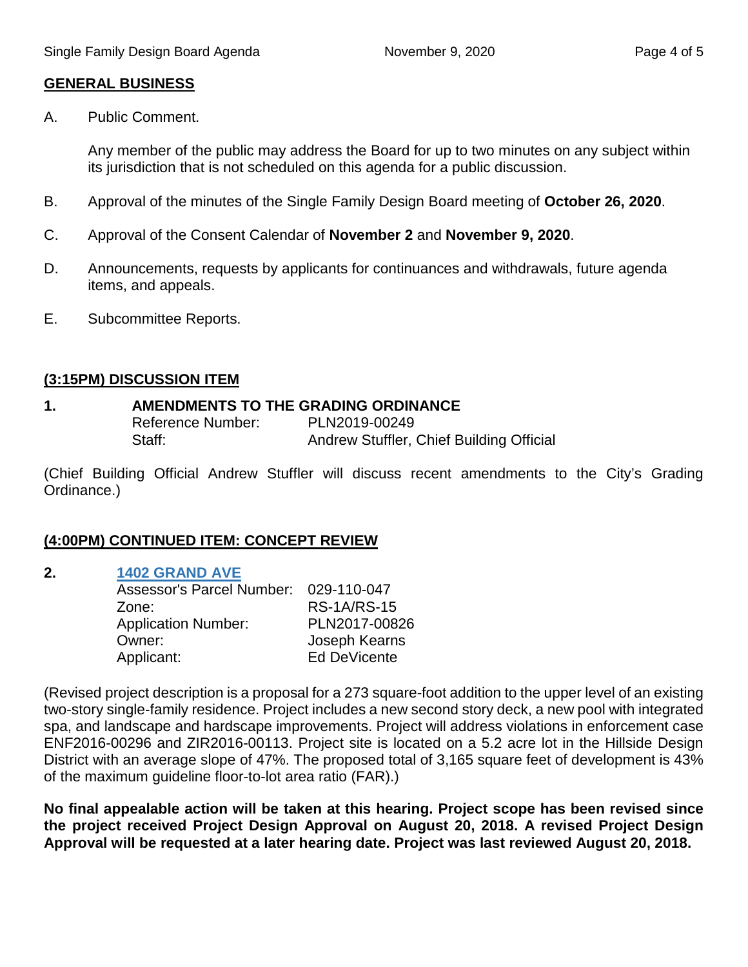#### **GENERAL BUSINESS**

A. Public Comment.

Any member of the public may address the Board for up to two minutes on any subject within its jurisdiction that is not scheduled on this agenda for a public discussion.

- B. Approval of the minutes of the Single Family Design Board meeting of **October 26, 2020**.
- C. Approval of the Consent Calendar of **November 2** and **November 9, 2020**.
- D. Announcements, requests by applicants for continuances and withdrawals, future agenda items, and appeals.
- E. Subcommittee Reports.

#### **(3:15PM) DISCUSSION ITEM**

# **1. AMENDMENTS TO THE GRADING ORDINANCE**<br>Reference Number: PLN2019-00249

Reference Number: Staff: **Andrew Stuffler, Chief Building Official** 

(Chief Building Official Andrew Stuffler will discuss recent amendments to the City's Grading Ordinance.)

### **(4:00PM) CONTINUED ITEM: CONCEPT REVIEW**

### **2. [1402 GRAND AVE](https://www.santabarbaraca.gov/SBdocuments/Advisory_Groups/Single_Family_Design_Board/Archive/2020_Archives/03_Architectural_Drawings/2020-11-09_November_9_2020_1402_Grand.pdf)**

| Assessor's Parcel Number:  | 029-110-047        |
|----------------------------|--------------------|
| Zone:                      | <b>RS-1A/RS-15</b> |
| <b>Application Number:</b> | PLN2017-00826      |
| Owner:                     | Joseph Kearns      |
| Applicant:                 | Ed DeVicente       |
|                            |                    |

(Revised project description is a proposal for a 273 square-foot addition to the upper level of an existing two-story single-family residence. Project includes a new second story deck, a new pool with integrated spa, and landscape and hardscape improvements. Project will address violations in enforcement case ENF2016-00296 and ZIR2016-00113. Project site is located on a 5.2 acre lot in the Hillside Design District with an average slope of 47%. The proposed total of 3,165 square feet of development is 43% of the maximum guideline floor-to-lot area ratio (FAR).)

**No final appealable action will be taken at this hearing. Project scope has been revised since the project received Project Design Approval on August 20, 2018. A revised Project Design Approval will be requested at a later hearing date. Project was last reviewed August 20, 2018.**